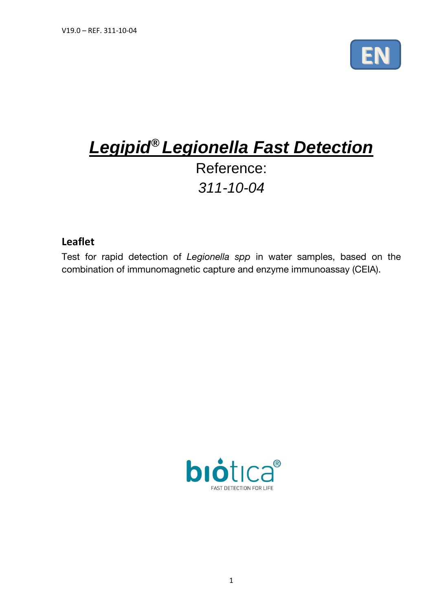

# *Legipid® Legionella Fast Detection* Reference: *311-10-04*

# **Leaflet**

Test for rapid detection of *Legionella spp* in water samples, based on the combination of immunomagnetic capture and enzyme immunoassay (CEIA).

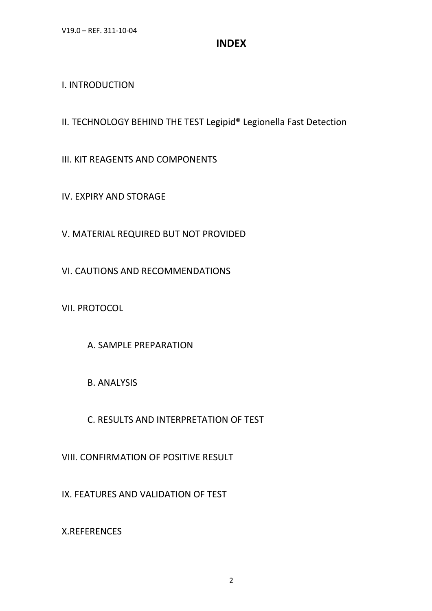# **INDEX**

# I. INTRODUCTION

II. TECHNOLOGY BEHIND THE TEST Legipid® Legionella Fast Detection

III. KIT REAGENTS AND COMPONENTS

IV. EXPIRY AND STORAGE

V. MATERIAL REQUIRED BUT NOT PROVIDED

VI. CAUTIONS AND RECOMMENDATIONS

VII. PROTOCOL

A. SAMPLE PREPARATION

B. ANALYSIS

C. RESULTS AND INTERPRETATION OF TEST

VIII. CONFIRMATION OF POSITIVE RESULT

IX. FEATURES AND VALIDATION OF TEST

X.REFERENCES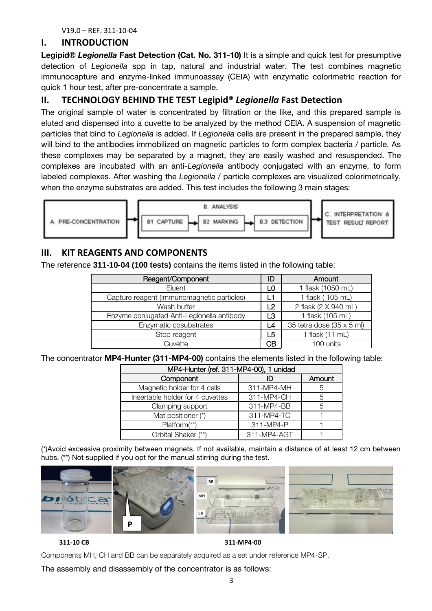#### **I. INTRODUCTION**

**Legipid**® *Legionella* **Fast Detection (Cat. No. 311-10)** It is a simple and quick test for presumptive detection of *Legionella* spp in tap, natural and industrial water. The test combines magnetic immunocapture and enzyme-linked immunoassay (CEIA) with enzymatic colorimetric reaction for quick 1 hour test, after pre-concentrate a sample.

# **II. TECHNOLOGY BEHIND THE TEST Legipid®** *Legionella* **Fast Detection**

The original sample of water is concentrated by filtration or the like, and this prepared sample is eluted and dispensed into a cuvette to be analyzed by the method CEIA. A suspension of magnetic particles that bind to *Legionella* is added. If *Legionella* cells are present in the prepared sample, they will bind to the antibodies immobilized on magnetic particles to form complex bacteria / particle. As these complexes may be separated by a magnet, they are easily washed and resuspended. The complexes are incubated with an anti-*Legionella* antibody conjugated with an enzyme, to form labeled complexes. After washing the *Legionella* / particle complexes are visualized colorimetrically, when the enzyme substrates are added. This test includes the following 3 main stages:



# **III. KIT REAGENTS AND COMPONENTS**

The reference **311-10-04 (100 tests)** contains the items listed in the following table:

| Reagent/Component                          | ID | Amount                    |
|--------------------------------------------|----|---------------------------|
| Eluent                                     | LO | 1 flask (1050 mL)         |
| Capture reagent (immunomagnetic particles) |    | 1 flask (105 mL)          |
| Wash buffer                                | 2  | 2 flask (2 X 940 mL)      |
| Enzyme conjugated Anti-Legionella antibody |    | 1 flask (105 mL)          |
| Enzymatic cosubstrates                     |    | 35 tetra dose (35 x 5 ml) |
| Stop reagent<br>L5                         |    | 1 flask (11 mL)           |
| Cuvette                                    | CВ | 100 units                 |

The concentrator **MP4-Hunter (311-MP4-00)** contains the elements listed in the following table:

| MP4-Hunter (ref. 311-MP4-00), 1 unidad |             |        |  |  |  |
|----------------------------------------|-------------|--------|--|--|--|
| Component                              | חו          | Amount |  |  |  |
| Magnetic holder for 4 cells            | 311-MP4-MH  | 5      |  |  |  |
| Insertable holder for 4 cuvettes       | 311-MP4-CH  | 5      |  |  |  |
| Clamping support                       | 311-MP4-BB  | 5      |  |  |  |
| Mat positioner (*)                     | 311-MP4-TC  |        |  |  |  |
| Platform <sup>(**)</sup>               | 311-MP4-P   |        |  |  |  |
| Orbital Shaker (**)                    | 311-MP4-AGT |        |  |  |  |

(\*)Avoid excessive proximity between magnets. If not available, maintain a distance of at least 12 cm between hubs. (\*\*) Not supplied if you opt for the manual stirring during the test.



 **311-10 CB 311-MP4-00** 

Components MH, CH and BB can be separately acquired as a set under reference MP4-SP.

The assembly and disassembly of the concentrator is as follows: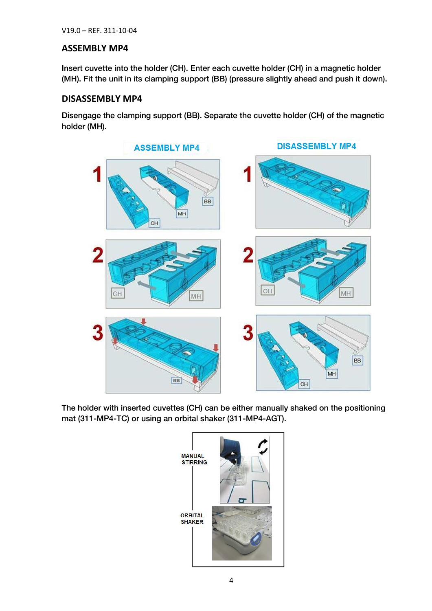#### **ASSEMBLY MP4**

 $I = \begin{pmatrix} 1 & 0 & 0 \\ 0 & 0 & 0 \end{pmatrix}$ . External into the holder (CH). Enter each curve holder (CH) is a magnetic holder (CH). In a magnetic holder (CH) in a magnetic holder (CH). In a magnetic holder (CH) is a magnetic holder (MH). Fit the unit in its clamping support (BB) (pressure slightly ahead and push it down).

# **DISASSEMBLY MP4**

Disengage the clamping support (BB). Separate the cuvette holder (CH) of the magnetic holder (MH).



The holder minimizeries carenze (CH) can be either manually shaked on the positioning<br>mot (211 MB4 TC) or using an orbital shaker (211 MB4 ACT)

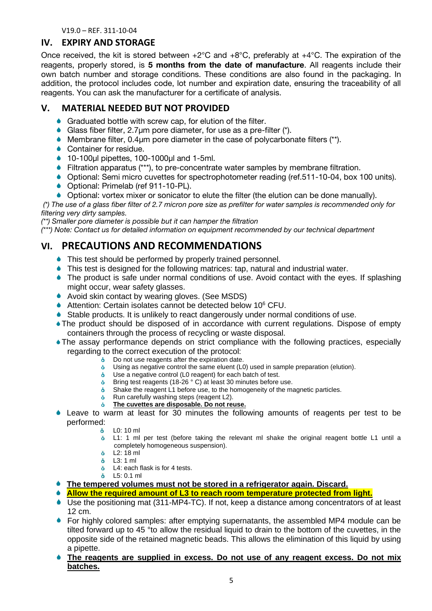# **IV. EXPIRY AND STORAGE**

Once received, the kit is stored between +2°C and +8°C, preferably at +4°C. The expiration of the reagents, properly stored, is **5 months from the date of manufacture**. All reagents include their own batch number and storage conditions. These conditions are also found in the packaging. In addition, the protocol includes code, lot number and expiration date, ensuring the traceability of all reagents. You can ask the manufacturer for a certificate of analysis.

# **V. MATERIAL NEEDED BUT NOT PROVIDED**

- Graduated bottle with screw cap, for elution of the filter.
- Glass fiber filter, 2.7μm pore diameter, for use as a pre-filter (\*).
- Membrane filter, 0.4μm pore diameter in the case of polycarbonate filters (\*\*).
- ♦ Container for residue.
- 10-100μl pipettes, 100-1000μl and 1-5ml.
- Filtration apparatus (\*\*\*), to pre-concentrate water samples by membrane filtration.
- Optional: Semi micro cuvettes for spectrophotometer reading (ref.511-10-04, box 100 units).
- Optional: Primelab (ref 911-10-PL).
- $\bullet$  Optional: vortex mixer or sonicator to elute the filter (the elution can be done manually).

*(\*) The use of a glass fiber filter of 2.7 micron pore size as prefilter for water samples is recommended only for* 

<sup>\*\*</sup>) Smaller pore diameter is possible but it can hamper the filtration

*(\*\*\*)* Note: Contact us for detailed information on equipment recommended by our technical department *(\*\*\*) Note: Contact us for detailed information on equipment recommended by our technical department*

# **VI. PRECAUTIONS AND RECOMMENDATIONS**

- ◆ This test should be performed by properly trained personnel.
- This test is designed for the following matrices: tap, natural and industrial water.
- The product is safe under normal conditions of use. Avoid contact with the eyes. If splashing might occur, wear safety glasses.
- ◆ Avoid skin contact by wearing gloves. (See MSDS)
- Attention: Certain isolates cannot be detected below  $10^6$  CFU.
- Stable products. It is unlikely to react dangerously under normal conditions of use.
- The product should be disposed of in accordance with current regulations. Dispose of empty containers through the process of recycling or waste disposal.
- The assay performance depends on strict compliance with the following practices, especially regarding to the correct execution of the protocol:
	- $\dot{\bullet}$  Do not use reagents after the expiration date.
	- Using as negative control the same eluent (L0) used in sample preparation (elution).
	- $\dot{\mathbf{o}}$ Use a negative control (L0 reagent) for each batch of test.
	- **b** Bring test reagents (18-26 ° C) at least 30 minutes before use.
	- Shake the reagent L1 before use, to the homogeneity of the magnetic particles.  $\dot{\mathbf{o}}$
	- ô. Run carefully washing steps (reagent L2).
	- **The cuvettes are disposable. Do not reuse.** ô.
- Leave to warm at least for 30 minutes the following amounts of reagents per test to be performed:
	- L0: 10 ml
	- **b** L1: 1 ml per test (before taking the relevant ml shake the original reagent bottle L1 until a completely homogeneous suspension).
	- L2: 18 ml
	- L3: 1 ml
	- **b** L4: each flask is for 4 tests.
	- L5: 0.1 ml
- **The tempered volumes must not be stored in a refrigerator again. Discard.**
- **Allow the required amount of L3 to reach room temperature protected from light.**
- Use the positioning mat (311-MP4-TC). If not, keep a distance among concentrators of at least 12 cm.
- For highly colored samples: after emptying supernatants, the assembled MP4 module can be tilted forward up to 45 °to allow the residual liquid to drain to the bottom of the cuvettes, in the opposite side of the retained magnetic beads. This allows the elimination of this liquid by using a pipette.
- **The reagents are supplied in excess. Do not use of any reagent excess. Do not mix batches.**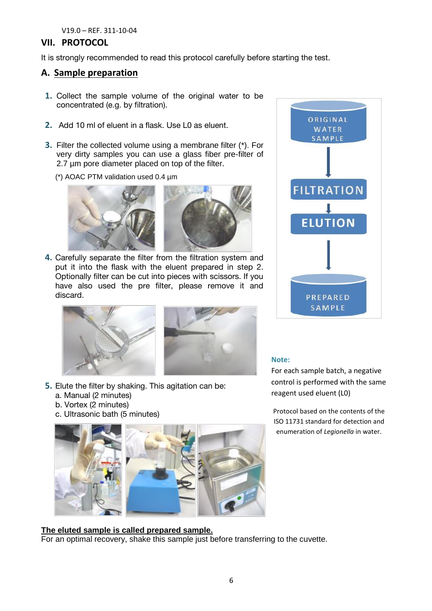# **VII. PROTOCOL**

It is strongly recommended to read this protocol carefully before starting the test.

# **A. Sample preparation**

- **1.** Collect the sample volume of the original water to be concentrated (e.g. by filtration).
- **2.** Add 10 ml of eluent in a flask. Use L0 as eluent.
- **3.** Filter the collected volume using a membrane filter (\*). For very dirty samples you can use a glass fiber pre-filter of 2.7 µm pore diameter placed on top of the filter.
	- (\*) AOAC PTM validation used 0.4 µm



**4.** Carefully separate the filter from the filtration system and put it into the flask with the eluent prepared in step 2. Optionally filter can be cut into pieces with scissors. If you have also used the pre filter, please remove it and discard.





- **5.** Elute the filter by shaking. This agitation can be:
	- a. Manual (2 minutes)
	- b. Vortex (2 minutes)
	- c. Ultrasonic bath (5 minutes)



# **The eluted sample is called prepared sample.**

For an optimal recovery, shake this sample just before transferring to the cuvette.



#### **Note:**

For each sample batch, a negative control is performed with the same reagent used eluent (L0)

Protocol based on the contents of the ISO 11731 standard for detection and enumeration of *Legionella* in water.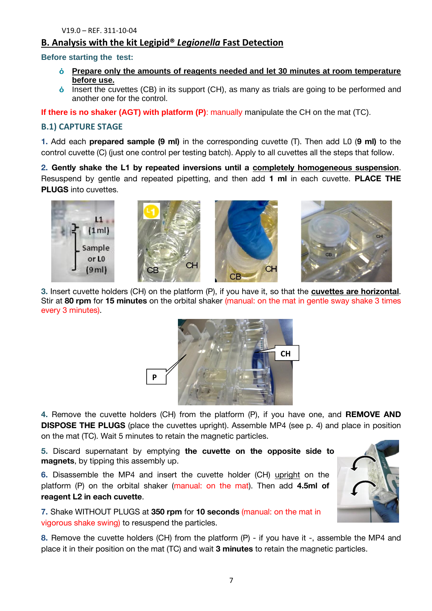# **B. Analysis with the kit Legipid®** *Legionella* **Fast Detection**

#### **Before starting the test:**

- $\dot{\mathbf{o}}$ **Prepare only the amounts of reagents needed and let 30 minutes at room temperature before use.**
- $\dot{\bullet}$  Insert the cuvettes (CB) in its support (CH), as many as trials are going to be performed and another one for the control.

**If there is no shaker (AGT) with platform (P)**: manually manipulate the CH on the mat (TC).

### **B.1) CAPTURE STAGE**

**1.** Add each **prepared sample (9 ml)** in the corresponding cuvette (T). Then add L0 (**9 ml)** to the control cuvette (C) (just one control per testing batch). Apply to all cuvettes all the steps that follow.

**2. Gently shake the L1 by repeated inversions until a completely homogeneous suspension**. Resuspend by gentle and repeated pipetting, and then add **1 ml** in each cuvette. **PLACE THE PLUGS** into cuvettes.



**3.** Insert cuvette holders (CH) on the platform (P), if you have it, so that the **cuvettes are horizontal**. Stir at **80 rpm** for **15 minutes** on the orbital shaker (manual: on the mat in gentle sway shake 3 times every 3 minutes).



**4.** Remove the cuvette holders (CH) from the platform (P), if you have one, and **REMOVE AND DISPOSE THE PLUGS** (place the cuvettes upright). Assemble MP4 (see p. 4) and place in position on the mat (TC). Wait 5 minutes to retain the magnetic particles.

**5.** Discard supernatant by emptying **the cuvette on the opposite side to magnets**, by tipping this assembly up.

**6.** Disassemble the MP4 and insert the cuvette holder (CH) upright on the platform (P) on the orbital shaker (manual: on the mat). Then add **4.5ml of reagent L2 in each cuvette**.

**7.** Shake WITHOUT PLUGS at **350 rpm** for **10 seconds** (manual: on the mat in vigorous shake swing) to resuspend the particles.

**8.** Remove the cuvette holders (CH) from the platform (P) - if you have it -, assemble the MP4 and place it in their position on the mat (TC) and wait **3 minutes** to retain the magnetic particles.

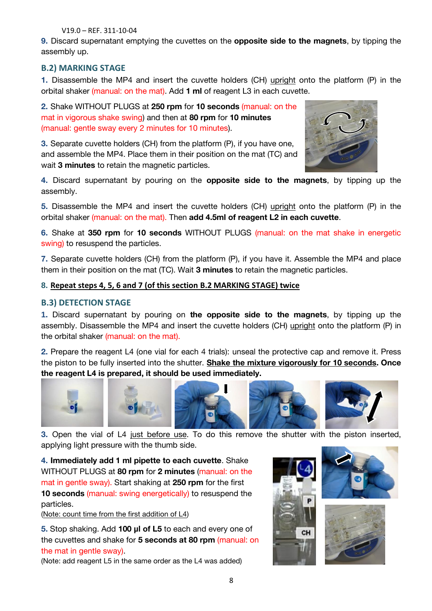**9.** Discard supernatant emptying the cuvettes on the **opposite side to the magnets**, by tipping the assembly up.

# **B.2) MARKING STAGE**

**1.** Disassemble the MP4 and insert the cuvette holders (CH) upright onto the platform (P) in the orbital shaker (manual: on the mat). Add **1 ml** of reagent L3 in each cuvette.

**2.** Shake WITHOUT PLUGS at **250 rpm** for **10 seconds** (manual: on the mat in vigorous shake swing) and then at **80 rpm** for **10 minutes** (manual: gentle sway every 2 minutes for 10 minutes).

**3.** Separate cuvette holders (CH) from the platform (P), if you have one, and assemble the MP4. Place them in their position on the mat (TC) and wait **3 minutes** to retain the magnetic particles.



**4.** Discard supernatant by pouring on the **opposite side to the magnets**, by tipping up the assembly.

**5.** Disassemble the MP4 and insert the cuvette holders (CH) upright onto the platform (P) in the orbital shaker (manual: on the mat). Then **add 4.5ml of reagent L2 in each cuvette**.

**6.** Shake at **350 rpm** for **10 seconds** WITHOUT PLUGS (manual: on the mat shake in energetic swing) to resuspend the particles.

**7.** Separate cuvette holders (CH) from the platform (P), if you have it. Assemble the MP4 and place them in their position on the mat (TC). Wait **3 minutes** to retain the magnetic particles.

#### **8. Repeat steps 4, 5, 6 and 7 (of this section B.2 MARKING STAGE) twice**

# **B.3) DETECTION STAGE**

**<sup>1</sup>.** Discard supernatant by pouring on **the opposite side to the magnets**, by tipping up the assembly. Disassemble the MP4 and insert the cuvette holders (CH) upright onto the platform (P) in the orbital shaker (manual: on the mat).

**2.** Prepare the reagent L4 (one vial for each 4 trials): unseal the protective cap and remove it. Press the piston to be fully inserted into the shutter. **Shake the mixture vigorously for 10 seconds. Once the reagent L4 is prepared, it should be used immediately.**



**3.** Open the vial of L4 just before use. To do this remove the shutter with the piston inserted, applying light pressure with the thumb side.

**4. Immediately add 1 ml pipette to each cuvette**. Shake WITHOUT PLUGS at **80 rpm** for **2 minutes** (manual: on the mat in gentle sway). Start shaking at **250 rpm** for the first **10 seconds** (manual: swing energetically) to resuspend the particles.

(Note: count time from the first addition of L4)

**5.** Stop shaking. Add **100 µl of L5** to each and every one of the cuvettes and shake for **5 seconds at 80 rpm** (manual: on the mat in gentle sway).

(Note: add reagent L5 in the same order as the L4 was added)





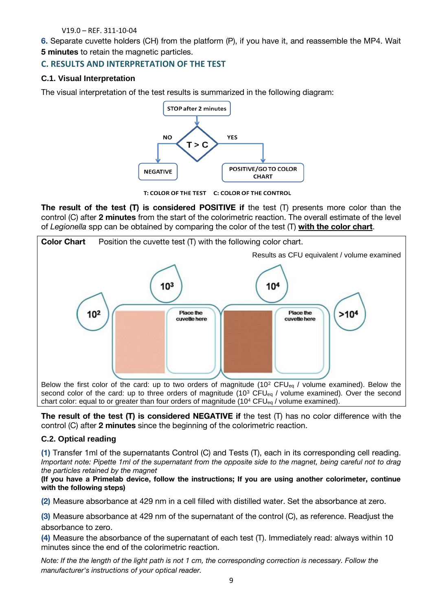**6.** Separate cuvette holders (CH) from the platform (P), if you have it, and reassemble the MP4. Wait **5 minutes** to retain the magnetic particles.

### **C. RESULTS AND INTERPRETATION OF THE TEST**

#### **C.1. Visual Interpretation**

The visual interpretation of the test results is summarized in the following diagram:



T: COLOR OF THE TEST C: COLOR OF THE CONTROL

**The result of the test (T) is considered POSITIVE if** the test (T) presents more color than the control (C) after **2 minutes** from the start of the colorimetric reaction. The overall estimate of the level of *Legionella* spp can be obtained by comparing the color of the test (T) **with the color chart**.



Below the first color of the card: up to two orders of magnitude (10<sup>2</sup> CFU<sub>eq</sub> / volume examined). Below the second color of the card: up to three orders of magnitude  $(10^3$  CFU<sub>eg</sub> / volume examined). Over the second chart color: equal to or greater than four orders of magnitude (10<sup>4</sup> CFU<sub>eq</sub> / volume examined).

**The result of the test (T) is considered NEGATIVE if** the test (T) has no color difference with the control (C) after **2 minutes** since the beginning of the colorimetric reaction.

#### **C.2. Optical reading**

**(1)** Transfer 1ml of the supernatants Control (C) and Tests (T), each in its corresponding cell reading. *Ine particles retained by the magnet* 

*(If you have a Primelab device, follow the instructions; If you are using another colorimeter, continue* (**If you have a Primerlab device)** the instructions; If you are using a primerical device  $\frac{1}{2}$  and  $\frac{1}{2}$  you are using a primeric  $\frac{1}{2}$  and  $\frac{1}{2}$  and  $\frac{1}{2}$  and  $\frac{1}{2}$  and  $\frac{1}{2}$  and  $\frac{1}{2}$  and **with the following steps)**

**(2)** Measure absorbance at 429 nm in a cell filled with distilled water. Set the absorbance at zero.

**(3)** Measure absorbance at 429 nm of the supernatant of the control (C), as reference. Readjust the absorbance to zero.

**(4)** Measure the absorbance of the supernatant of each test (T). Immediately read: always within 10 minutes since the end of the colorimetric reaction.

*Note: If the the length of the light path is not 1 cm, the corresponding correction is necessary. Follow the manufacturer's instructions of your optical reader.*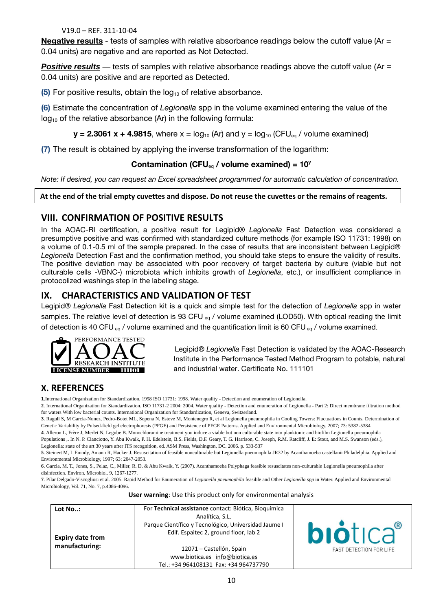**Negative results** - tests of samples with relative absorbance readings below the cutoff value (Ar = 0.04 units) are negative and are reported as Not Detected.

**Positive results** — tests of samples with relative absorbance readings above the cutoff value (Ar = 0.04 units) are positive and are reported as Detected.

**(5)** For positive results, obtain the log<sub>10</sub> of relative absorbance.

**(6)** Estimate the concentration of *Legionella* spp in the volume examined entering the value of the  $log_{10}$  of the relative absorbance (Ar) in the following formula:

**y** = 2.3061 x + 4.9815, where  $x = \log_{10} (Ar)$  and  $y = \log_{10} (CFU_{eq} /$  volume examined)

**(7)** The result is obtained by applying the inverse transformation of the logarithm:

**Contamination (CFU**<sub>eq</sub> **/ volume examined) = 10<sup>***y***</sup><br>***Note: If desired, you can request an Excel spreadsheet programmed for automatic calculation of concentration. Note: If desired, you can request an Excel spreadsheet programmed for automatic calculation of concentration.*

#### **At the end of the trial empty cuvettes and dispose. Do not reuse the cuvettes or the remains of reagents.**

# **VIII. CONFIRMATION OF POSITIVE RESULTS**

In the AOAC-RI certification, a positive result for Legipid® *Legionella* Fast Detection was considered a presumptive positive and was confirmed with standardized culture methods (for example ISO 11731: 1998) on a volume of 0.1-0.5 ml of the sample prepared. In the case of results that are inconsistent between Legipid® *Legionella* Detection Fast and the confirmation method, you should take steps to ensure the validity of results. The positive deviation may be associated with poor recovery of target bacteria by culture (viable but not culturable cells -VBNC-) microbiota which inhibits growth of *Legionella*, etc.), or insufficient compliance in protocolized washings step in the labeling stage.

# **IX. CHARACTERISTICS AND VALIDATION OF TEST**

Legipid® *Legionella* Fast Detection kit is a quick and simple test for the detection of *Legionella* spp in water samples. The relative level of detection is 93 CFU eq / volume examined (LOD50). With optical reading the limit of detection is 40 CFU  $_{eq}$  / volume examined and the quantification limit is 60 CFU  $_{eq}$  / volume examined.



Legipid® *Legionella* Fast Detection is validated by the AOAC-Research Institute in the Performance Tested Method Program to potable, natural and industrial water. Certificate No. 111101

# **X. REFERENCES**

**1**.International Organization for Standardization. 1998 ISO 11731: 1998. Water quality - Detection and enumeration of Legionella.

**3**. Ragull S, M Garcia-Nunez, Pedro-Botet ML, Sopena N, Esteve M, Montenegro R, et al Legionella pneumophila in Cooling Towers: Fluctuations in Counts, Determination of Genetic Variability by Pulsed-field gel electrophoresis (PFGE) and Persistence of PFGE Patterns. Applied and Environmental Microbiology, 2007; 73: 5382-5384

**4**. Alleron L, Frère J, Merlet N, Legube B. Monochloramine treatment you induce a viable but non culturable state into planktonic and biofilm Legionella pneumophila Populations ,. In N. P. Cianciotto, Y. Abu Kwaik, P. H. Edelstein, B.S. Fields, D.F. Geary, T. G. Harrison, C. Joseph, R.M. Ratcliff, J. E: Stout, and M.S. Swanson (eds.), Legionella: state of the art 30 years after ITS recognition, ed. ASM Press, Washington, DC. 2006. p. 533-537

**5**. Steinert M, L Emody, Amann R, Hacker J. Resuscitation of feasible nonculturable but Legionella pneumophila JR32 by Acanthamoeba castellanii Philadelphia. Applied and Environmental Microbiology, 1997; 63: 2047-2053.

**6**. Garcia, M. T., Jones, S., Pelaz, C., Miller, R. D. & Abu Kwaik, Y. (2007). Acanthamoeba Polyphaga feasible resuscitates non-culturable Legionella pneumophila after disinfection. Environ. Microbiol. 9, 1267-1277.

**7**. Pilar Delgado-Viscogliosi et al. 2005. Rapid Method for Enumeration of *Legionella pneumophila* feasible and Other *Legionella spp* in Water. Applied and Environmental Microbiology, Vol. 71, No. 7, p.4086-4096.

**User warning**: Use this product only for environmental analysis

| Lot No:<br><b>Expiry date from</b> | For Technical assistance contact: Biótica, Bioquímica<br>Analítica, S.L.<br>Parque Científico y Tecnológico, Universidad Jaume I<br>Edif. Espaitec 2, ground floor, lab 2 | <b>biotica</b> ®               |
|------------------------------------|---------------------------------------------------------------------------------------------------------------------------------------------------------------------------|--------------------------------|
| manufacturing:                     | 12071 – Castellón, Spain                                                                                                                                                  | <b>FAST DETECTION FOR LIFE</b> |
|                                    | www.biotica.es info@biotica.es                                                                                                                                            |                                |
|                                    | Tel.: +34 964108131 Fax: +34 964737790                                                                                                                                    |                                |

**<sup>2</sup>**. International Organization for Standardization. ISO 11731-2 2004: 2004. Water quality - Detection and enumeration of Legionella - Part 2: Direct membrane filtration method for waters With low bacterial counts. International Organization for Standardization, Geneva, Switzerland.